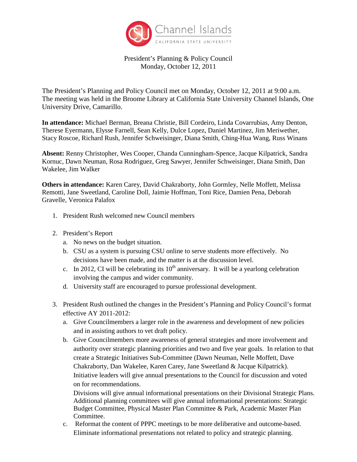

President's Planning & Policy Council Monday, October 12, 2011

The President's Planning and Policy Council met on Monday, October 12, 2011 at 9:00 a.m. The meeting was held in the Broome Library at California State University Channel Islands, One University Drive, Camarillo.

**In attendance:** Michael Berman, Breana Christie, Bill Cordeiro, Linda Covarrubias, Amy Denton, Therese Eyermann, Elysse Farnell, Sean Kelly, Dulce Lopez, Daniel Martinez, Jim Meriwether, Stacy Roscoe, Richard Rush, Jennifer Schweisinger, Diana Smith, Ching-Hua Wang, Russ Winans

**Absent:** Renny Christopher, Wes Cooper, Chanda Cunningham-Spence, Jacque Kilpatrick, Sandra Kornuc, Dawn Neuman, Rosa Rodriguez, Greg Sawyer, Jennifer Schweisinger, Diana Smith, Dan Wakelee, Jim Walker

**Others in attendance:** Karen Carey, David Chakraborty, John Gormley, Nelle Moffett, Melissa Remotti, Jane Sweetland, Caroline Doll, Jaimie Hoffman, Toni Rice, Damien Pena, Deborah Gravelle, Veronica Palafox

- 1. President Rush welcomed new Council members
- 2. President's Report
	- a. No news on the budget situation.
	- b. CSU as a system is pursuing CSU online to serve students more effectively. No decisions have been made, and the matter is at the discussion level.
	- c. In 2012, CI will be celebrating its  $10<sup>th</sup>$  anniversary. It will be a yearlong celebration involving the campus and wider community.
	- d. University staff are encouraged to pursue professional development.
- 3. President Rush outlined the changes in the President's Planning and Policy Council's format effective AY 2011-2012:
	- a. Give Councilmembers a larger role in the awareness and development of new policies and in assisting authors to vet draft policy.
	- b. Give Councilmembers more awareness of general strategies and more involvement and authority over strategic planning priorities and two and five year goals. In relation to that create a Strategic Initiatives Sub-Committee (Dawn Neuman, Nelle Moffett, Dave Chakraborty, Dan Wakelee, Karen Carey, Jane Sweetland & Jacque Kilpatrick). Initiative leaders will give annual presentations to the Council for discussion and voted on for recommendations.

Divisions will give annual informational presentations on their Divisional Strategic Plans. Additional planning committees will give annual informational presentations: Strategic Budget Committee, Physical Master Plan Committee & Park, Academic Master Plan Committee.

c. Reformat the content of PPPC meetings to be more deliberative and outcome-based. Eliminate informational presentations not related to policy and strategic planning.